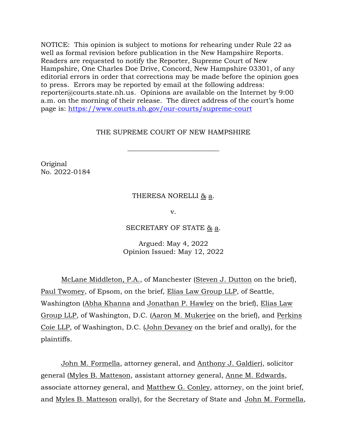NOTICE: This opinion is subject to motions for rehearing under Rule 22 as well as formal revision before publication in the New Hampshire Reports. Readers are requested to notify the Reporter, Supreme Court of New Hampshire, One Charles Doe Drive, Concord, New Hampshire 03301, of any editorial errors in order that corrections may be made before the opinion goes to press. Errors may be reported by email at the following address: reporter@courts.state.nh.us. Opinions are available on the Internet by 9:00 a.m. on the morning of their release. The direct address of the court's home page is: [https://www.courts.nh.gov/our-courts/supreme-court](https://gcc02.safelinks.protection.outlook.com/?url=https%3A%2F%2Fwww.courts.nh.gov%2Four-courts%2Fsupreme-court&data=04%7C01%7CLPlatt%40courts.state.nh.us%7Caa2db6655bdc4704e20708d9a2ef34d8%7C4b263663fabf4b6db730af1c06efff28%7C0%7C0%7C637719970537225651%7CUnknown%7CTWFpbGZsb3d8eyJWIjoiMC4wLjAwMDAiLCJQIjoiV2luMzIiLCJBTiI6Ik1haWwiLCJXVCI6Mn0%3D%7C1000&sdata=VmLIzCaIc2VpgcA78JCxp7zwT%2BpF1h5dmxaOLq6XH0g%3D&reserved=0)

# THE SUPREME COURT OF NEW HAMPSHIRE

 $\overline{\phantom{a}}$  , where  $\overline{\phantom{a}}$  , where  $\overline{\phantom{a}}$  ,  $\overline{\phantom{a}}$  ,  $\overline{\phantom{a}}$  ,  $\overline{\phantom{a}}$  ,  $\overline{\phantom{a}}$  ,  $\overline{\phantom{a}}$  ,  $\overline{\phantom{a}}$  ,  $\overline{\phantom{a}}$  ,  $\overline{\phantom{a}}$  ,  $\overline{\phantom{a}}$  ,  $\overline{\phantom{a}}$  ,  $\overline{\phantom{a}}$  ,  $\overline{\phantom{a}}$  ,

Original No. 2022-0184

#### THERESA NORELLI & a.

v.

#### SECRETARY OF STATE & a.

Argued: May 4, 2022 Opinion Issued: May 12, 2022

McLane Middleton, P.A., of Manchester (Steven J. Dutton on the brief), Paul Twomey, of Epsom, on the brief, Elias Law Group LLP, of Seattle, Washington (Abha Khanna and Jonathan P. Hawley on the brief), Elias Law Group LLP, of Washington, D.C. (Aaron M. Mukerjee on the brief), and Perkins Coie LLP, of Washington, D.C. (John Devaney on the brief and orally), for the plaintiffs.

John M. Formella, attorney general, and Anthony J. Galdieri, solicitor general (Myles B. Matteson, assistant attorney general, Anne M. Edwards, associate attorney general, and Matthew G. Conley, attorney, on the joint brief, and Myles B. Matteson orally), for the Secretary of State and John M. Formella,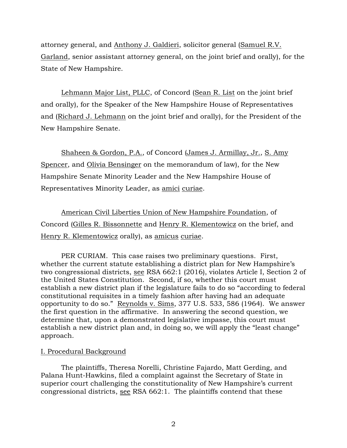attorney general, and Anthony J. Galdieri, solicitor general (Samuel R.V. Garland, senior assistant attorney general, on the joint brief and orally), for the State of New Hampshire.

Lehmann Major List, PLLC, of Concord (Sean R. List on the joint brief and orally), for the Speaker of the New Hampshire House of Representatives and (Richard J. Lehmann on the joint brief and orally), for the President of the New Hampshire Senate.

Shaheen & Gordon, P.A., of Concord (James J. Armillay, Jr., S. Amy Spencer, and Olivia Bensinger on the memorandum of law), for the New Hampshire Senate Minority Leader and the New Hampshire House of Representatives Minority Leader, as amici curiae.

American Civil Liberties Union of New Hampshire Foundation, of Concord (Gilles R. Bissonnette and Henry R. Klementowicz on the brief, and Henry R. Klementowicz orally), as amicus curiae.

PER CURIAM. This case raises two preliminary questions. First, whether the current statute establishing a district plan for New Hampshire's two congressional districts, see RSA 662:1 (2016), violates Article I, Section 2 of the United States Constitution. Second, if so, whether this court must establish a new district plan if the legislature fails to do so "according to federal constitutional requisites in a timely fashion after having had an adequate opportunity to do so." Reynolds v. Sims, 377 U.S. 533, 586 (1964). We answer the first question in the affirmative. In answering the second question, we determine that, upon a demonstrated legislative impasse, this court must establish a new district plan and, in doing so, we will apply the "least change" approach.

# I. Procedural Background

The plaintiffs, Theresa Norelli, Christine Fajardo, Matt Gerding, and Palana Hunt-Hawkins, filed a complaint against the Secretary of State in superior court challenging the constitutionality of New Hampshire's current congressional districts, see RSA 662:1. The plaintiffs contend that these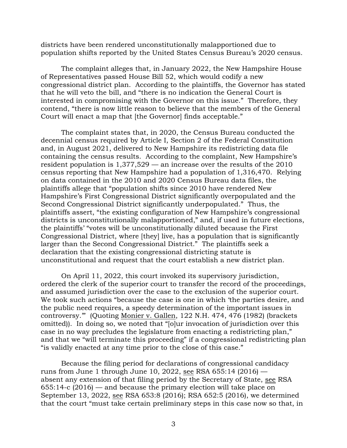districts have been rendered unconstitutionally malapportioned due to population shifts reported by the United States Census Bureau's 2020 census.

The complaint alleges that, in January 2022, the New Hampshire House of Representatives passed House Bill 52, which would codify a new congressional district plan. According to the plaintiffs, the Governor has stated that he will veto the bill, and "there is no indication the General Court is interested in compromising with the Governor on this issue." Therefore, they contend, "there is now little reason to believe that the members of the General Court will enact a map that [the Governor] finds acceptable."

The complaint states that, in 2020, the Census Bureau conducted the decennial census required by Article I, Section 2 of the Federal Constitution and, in August 2021, delivered to New Hampshire its redistricting data file containing the census results. According to the complaint, New Hampshire's resident population is 1,377,529 — an increase over the results of the 2010 census reporting that New Hampshire had a population of 1,316,470. Relying on data contained in the 2010 and 2020 Census Bureau data files, the plaintiffs allege that "population shifts since 2010 have rendered New Hampshire's First Congressional District significantly overpopulated and the Second Congressional District significantly underpopulated." Thus, the plaintiffs assert, "the existing configuration of New Hampshire's congressional districts is unconstitutionally malapportioned," and, if used in future elections, the plaintiffs' "votes will be unconstitutionally diluted because the First Congressional District, where [they] live, has a population that is significantly larger than the Second Congressional District." The plaintiffs seek a declaration that the existing congressional districting statute is unconstitutional and request that the court establish a new district plan.

On April 11, 2022, this court invoked its supervisory jurisdiction, ordered the clerk of the superior court to transfer the record of the proceedings, and assumed jurisdiction over the case to the exclusion of the superior court. We took such actions "because the case is one in which 'the parties desire, and the public need requires, a speedy determination of the important issues in controversy.'" (Quoting Monier v. Gallen, 122 N.H. 474, 476 (1982) (brackets omitted)). In doing so, we noted that "[o]ur invocation of jurisdiction over this case in no way precludes the legislature from enacting a redistricting plan," and that we "will terminate this proceeding" if a congressional redistricting plan "is validly enacted at any time prior to the close of this case."

Because the filing period for declarations of congressional candidacy runs from June 1 through June 10, 2022, see RSA 655:14 (2016) absent any extension of that filing period by the Secretary of State, see RSA 655:14-c (2016) — and because the primary election will take place on September 13, 2022, see RSA 653:8 (2016); RSA 652:5 (2016), we determined that the court "must take certain preliminary steps in this case now so that, in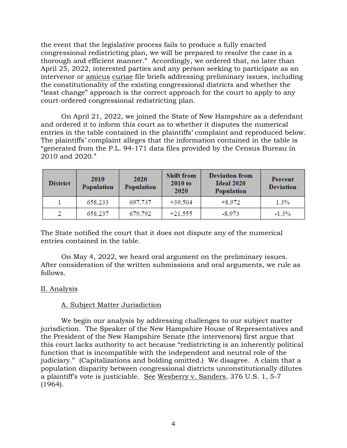the event that the legislative process fails to produce a fully enacted congressional redistricting plan, we will be prepared to resolve the case in a thorough and efficient manner." Accordingly, we ordered that, no later than April 25, 2022, interested parties and any person seeking to participate as an intervenor or amicus curiae file briefs addressing preliminary issues, including the constitutionality of the existing congressional districts and whether the "least change" approach is the correct approach for the court to apply to any court-ordered congressional redistricting plan.

On April 21, 2022, we joined the State of New Hampshire as a defendant and ordered it to inform this court as to whether it disputes the numerical entries in the table contained in the plaintiffs' complaint and reproduced below. The plaintiffs' complaint alleges that the information contained in the table is "generated from the P.L. 94-171 data files provided by the Census Bureau in 2010 and 2020."

| <b>District</b> | 2010<br>Population | 2020<br>Population | <b>Shift from</b><br>$2010$ to<br>2020 | <b>Deviation from</b><br>Ideal 2020<br>Population | Percent<br><b>Deviation</b> |
|-----------------|--------------------|--------------------|----------------------------------------|---------------------------------------------------|-----------------------------|
|                 | 658,233            | 697,737            | $+39,504$                              | $+8,972$                                          | 1.3%                        |
|                 | 658,237            | 679,792            | $+21,555$                              | $-8,973$                                          | $-1.3%$                     |

The State notified the court that it does not dispute any of the numerical entries contained in the table.

On May 4, 2022, we heard oral argument on the preliminary issues. After consideration of the written submissions and oral arguments, we rule as follows.

# II. Analysis

# A. Subject Matter Jurisdiction

We begin our analysis by addressing challenges to our subject matter jurisdiction. The Speaker of the New Hampshire House of Representatives and the President of the New Hampshire Senate (the intervenors) first argue that this court lacks authority to act because "redistricting is an inherently political function that is incompatible with the independent and neutral role of the judiciary." (Capitalizations and bolding omitted.) We disagree. A claim that a population disparity between congressional districts unconstitutionally dilutes a plaintiff's vote is justiciable. See Wesberry v. Sanders, 376 U.S. 1, 5-7 (1964).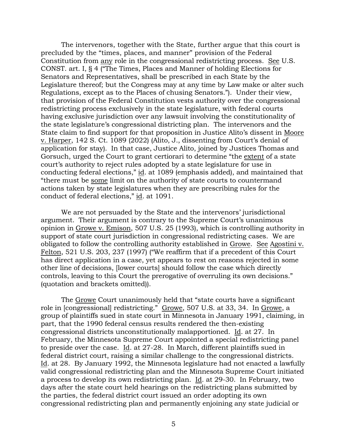The intervenors, together with the State, further argue that this court is precluded by the "times, places, and manner" provision of the Federal Constitution from any role in the congressional redistricting process. See U.S. CONST. art. I, § 4 ("The Times, Places and Manner of holding Elections for Senators and Representatives, shall be prescribed in each State by the Legislature thereof; but the Congress may at any time by Law make or alter such Regulations, except as to the Places of chusing Senators."). Under their view, that provision of the Federal Constitution vests authority over the congressional redistricting process exclusively in the state legislature, with federal courts having exclusive jurisdiction over any lawsuit involving the constitutionality of the state legislature's congressional districting plan. The intervenors and the State claim to find support for that proposition in Justice Alito's dissent in Moore v. Harper, 142 S. Ct. 1089 (2022) (Alito, J., dissenting from Court's denial of application for stay). In that case, Justice Alito, joined by Justices Thomas and Gorsuch, urged the Court to grant certiorari to determine "the extent of a state court's authority to reject rules adopted by a state legislature for use in conducting federal elections," id. at 1089 (emphasis added), and maintained that "there must be some limit on the authority of state courts to countermand actions taken by state legislatures when they are prescribing rules for the conduct of federal elections," id. at 1091.

We are not persuaded by the State and the intervenors' jurisdictional argument. Their argument is contrary to the Supreme Court's unanimous opinion in Growe v. Emison, 507 U.S. 25 (1993), which is controlling authority in support of state court jurisdiction in congressional redistricting cases. We are obligated to follow the controlling authority established in Growe. See Agostini v. Felton, 521 U.S. 203, 237 (1997) ("We reaffirm that if a precedent of this Court has direct application in a case, yet appears to rest on reasons rejected in some other line of decisions, [lower courts] should follow the case which directly controls, leaving to this Court the prerogative of overruling its own decisions." (quotation and brackets omitted)).

The Growe Court unanimously held that "state courts have a significant role in [congressional] redistricting." Growe, 507 U.S. at 33, 34. In Growe, a group of plaintiffs sued in state court in Minnesota in January 1991, claiming, in part, that the 1990 federal census results rendered the then-existing congressional districts unconstitutionally malapportioned. Id. at 27. In February, the Minnesota Supreme Court appointed a special redistricting panel to preside over the case. Id. at 27-28. In March, different plaintiffs sued in federal district court, raising a similar challenge to the congressional districts. Id. at 28. By January 1992, the Minnesota legislature had not enacted a lawfully valid congressional redistricting plan and the Minnesota Supreme Court initiated a process to develop its own redistricting plan. Id. at 29-30. In February, two days after the state court held hearings on the redistricting plans submitted by the parties, the federal district court issued an order adopting its own congressional redistricting plan and permanently enjoining any state judicial or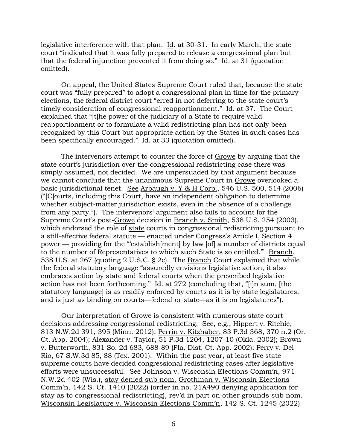legislative interference with that plan. Id. at 30-31. In early March, the state court "indicated that it was fully prepared to release a congressional plan but that the federal injunction prevented it from doing so." Id. at 31 (quotation omitted).

On appeal, the United States Supreme Court ruled that, because the state court was "fully prepared" to adopt a congressional plan in time for the primary elections, the federal district court "erred in not deferring to the state court's timely consideration of congressional reapportionment." Id. at 37. The Court explained that "[t]he power of the judiciary of a State to require valid reapportionment or to formulate a valid redistricting plan has not only been recognized by this Court but appropriate action by the States in such cases has been specifically encouraged." Id. at 33 (quotation omitted).

The intervenors attempt to counter the force of Growe by arguing that the state court's jurisdiction over the congressional redistricting case there was simply assumed, not decided. We are unpersuaded by that argument because we cannot conclude that the unanimous Supreme Court in Growe overlooked a basic jurisdictional tenet. See Arbaugh v. Y & H Corp., 546  $\overline{U.S.}$  500, 514 (2006) ("[C]ourts, including this Court, have an independent obligation to determine whether subject-matter jurisdiction exists, even in the absence of a challenge from any party."). The intervenors' argument also fails to account for the Supreme Court's post-Growe decision in Branch v. Smith, 538 U.S. 254 (2003), which endorsed the role of state courts in congressional redistricting pursuant to a still-effective federal statute — enacted under Congress's Article I, Section 4 power — providing for the "'establish[ment] by law [of] a number of districts equal to the number of Representatives to which such State is so entitled.'" Branch, 538 U.S. at 267 (quoting 2 U.S.C. § 2c). The Branch Court explained that while the federal statutory language "assuredly envisions legislative action, it also embraces action by state and federal courts when the prescribed legislative action has not been forthcoming." Id. at 272 (concluding that, "[i]n sum, [the statutory language] is as readily enforced by courts as it is by state legislatures, and is just as binding on courts—federal or state—as it is on legislatures").

Our interpretation of Growe is consistent with numerous state court decisions addressing congressional redistricting. See, e.g., Hippert v. Ritchie, 813 N.W.2d 391, 395 (Minn. 2012); Perrin v. Kitzhaber, 83 P.3d 368, 370 n.2 (Or. Ct. App. 2004); Alexander v. Taylor, 51 P.3d 1204, 1207-10 (Okla. 2002); Brown v. Butterworth, 831 So. 2d 683, 688-89 (Fla. Dist. Ct. App. 2002); Perry v. Del Rio, 67 S.W.3d 85, 88 (Tex. 2001). Within the past year, at least five state supreme courts have decided congressional redistricting cases after legislative efforts were unsuccessful. See Johnson v. Wisconsin Elections Comm'n, 971 N.W.2d 402 (Wis.), stay denied sub nom. Grothman v. Wisconsin Elections Comm'n, 142 S. Ct. 1410 (2022) (order in no. 21A490 denying application for stay as to congressional redistricting), rev'd in part on other grounds sub nom. Wisconsin Legislature v. Wisconsin Elections Comm'n, 142 S. Ct. 1245 (2022)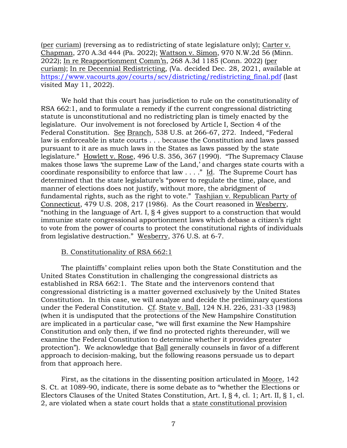(per curiam) (reversing as to redistricting of state legislature only); Carter v. Chapman, 270 A.3d 444 (Pa. 2022); Wattson v. Simon, 970 N.W.2d 56 (Minn. 2022); In re Reapportionment Comm'n, 268 A.3d 1185 (Conn. 2022) (per curiam); In re Decennial Redistricting, (Va. decided Dec. 28, 2021, available at [https://www.vacourts.gov/courts/scv/districting/redistricting\\_final.pdf](https://www.vacourts.gov/courts/scv/districting/redistricting_final.pdf) (last visited May 11, 2022).

We hold that this court has jurisdiction to rule on the constitutionality of RSA 662:1, and to formulate a remedy if the current congressional districting statute is unconstitutional and no redistricting plan is timely enacted by the legislature. Our involvement is not foreclosed by Article I, Section 4 of the Federal Constitution. See Branch, 538 U.S. at 266-67, 272. Indeed, "Federal law is enforceable in state courts . . . because the Constitution and laws passed pursuant to it are as much laws in the States as laws passed by the state legislature." Howlett v. Rose, 496 U.S. 356, 367 (1990). "The Supremacy Clause makes those laws 'the supreme Law of the Land,' and charges state courts with a coordinate responsibility to enforce that law  $\dots$ ." Id. The Supreme Court has determined that the state legislature's "power to regulate the time, place, and manner of elections does not justify, without more, the abridgment of fundamental rights, such as the right to vote." Tashjian v. Republican Party of Connecticut, 479 U.S. 208, 217 (1986). As the Court reasoned in Wesberry, "nothing in the language of Art. I, § 4 gives support to a construction that would immunize state congressional apportionment laws which debase a citizen's right to vote from the power of courts to protect the constitutional rights of individuals from legislative destruction." Wesberry, 376 U.S. at 6-7.

# B. Constitutionality of RSA 662:1

The plaintiffs' complaint relies upon both the State Constitution and the United States Constitution in challenging the congressional districts as established in RSA 662:1. The State and the intervenors contend that congressional districting is a matter governed exclusively by the United States Constitution. In this case, we will analyze and decide the preliminary questions under the Federal Constitution. Cf. State v. Ball, 124 N.H. 226, 231-33 (1983) (when it is undisputed that the protections of the New Hampshire Constitution are implicated in a particular case, "we will first examine the New Hampshire Constitution and only then, if we find no protected rights thereunder, will we examine the Federal Constitution to determine whether it provides greater protection"). We acknowledge that Ball generally counsels in favor of a different approach to decision-making, but the following reasons persuade us to depart from that approach here.

First, as the citations in the dissenting position articulated in Moore, 142 S. Ct. at 1089-90, indicate, there is some debate as to "whether the Elections or Electors Clauses of the United States Constitution, Art. I, § 4, cl. 1; Art. II, § 1, cl. 2, are violated when a state court holds that a state constitutional provision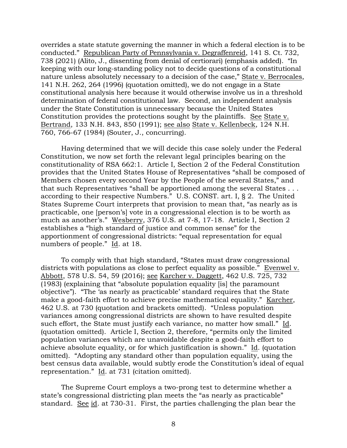overrides a state statute governing the manner in which a federal election is to be conducted." Republican Party of Pennsylvania v. Degraffenreid, 141 S. Ct. 732, 738 (2021) (Alito, J., dissenting from denial of certiorari) (emphasis added). "In keeping with our long-standing policy not to decide questions of a constitutional nature unless absolutely necessary to a decision of the case," State v. Berrocales, 141 N.H. 262, 264 (1996) (quotation omitted), we do not engage in a State constitutional analysis here because it would otherwise involve us in a threshold determination of federal constitutional law. Second, an independent analysis under the State Constitution is unnecessary because the United States Constitution provides the protections sought by the plaintiffs. See State v. Bertrand, 133 N.H. 843, 850 (1991); see also State v. Kellenbeck, 124 N.H. 760, 766-67 (1984) (Souter, J., concurring).

Having determined that we will decide this case solely under the Federal Constitution, we now set forth the relevant legal principles bearing on the constitutionality of RSA 662:1. Article I, Section 2 of the Federal Constitution provides that the United States House of Representatives "shall be composed of Members chosen every second Year by the People of the several States," and that such Representatives "shall be apportioned among the several States . . . according to their respective Numbers." U.S. CONST. art. I, § 2. The United States Supreme Court interprets that provision to mean that, "as nearly as is practicable, one [person's] vote in a congressional election is to be worth as much as another's." Wesberry, 376 U.S. at 7-8, 17-18. Article I, Section 2 establishes a "high standard of justice and common sense" for the apportionment of congressional districts: "equal representation for equal numbers of people." Id. at 18.

To comply with that high standard, "States must draw congressional districts with populations as close to perfect equality as possible." Evenwel v. Abbott, 578 U.S. 54, 59 (2016); see Karcher v. Daggett, 462 U.S. 725, 732 (1983) (explaining that "absolute population equality [is] the paramount objective"). "The 'as nearly as practicable' standard requires that the State make a good-faith effort to achieve precise mathematical equality." Karcher, 462 U.S. at 730 (quotation and brackets omitted). "Unless population variances among congressional districts are shown to have resulted despite such effort, the State must justify each variance, no matter how small." Id. (quotation omitted). Article I, Section 2, therefore, "permits only the limited population variances which are unavoidable despite a good-faith effort to achieve absolute equality, or for which justification is shown." Id. (quotation omitted). "Adopting any standard other than population equality, using the best census data available, would subtly erode the Constitution's ideal of equal representation." Id. at 731 (citation omitted).

The Supreme Court employs a two-prong test to determine whether a state's congressional districting plan meets the "as nearly as practicable" standard. See id. at 730-31. First, the parties challenging the plan bear the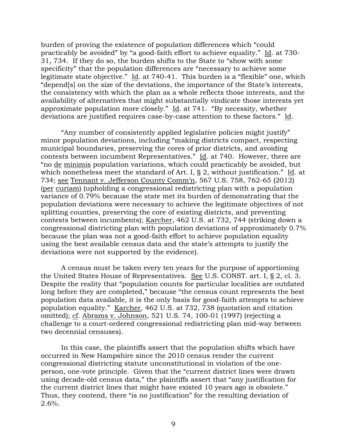burden of proving the existence of population differences which "could practicably be avoided" by "a good-faith effort to achieve equality." Id. at 730- 31, 734. If they do so, the burden shifts to the State to "show with some specificity" that the population differences are "necessary to achieve some legitimate state objective." Id. at 740-41. This burden is a "flexible" one, which "depend[s] on the size of the deviations, the importance of the State's interests, the consistency with which the plan as a whole reflects those interests, and the availability of alternatives that might substantially vindicate those interests yet approximate population more closely." Id. at 741. "By necessity, whether deviations are justified requires case-by-case attention to these factors." Id.

"Any number of consistently applied legislative policies might justify" minor population deviations, including "making districts compact, respecting municipal boundaries, preserving the cores of prior districts, and avoiding contests between incumbent Representatives." Id. at 740. However, there are "no de minimis population variations, which could practicably be avoided, but which nonetheless meet the standard of Art. I, § 2, without justification." Id. at 734; see Tennant v. Jefferson County Comm'n, 567 U.S. 758, 762-65 (2012) (per curiam) (upholding a congressional redistricting plan with a population variance of 0.79% because the state met its burden of demonstrating that the population deviations were necessary to achieve the legitimate objectives of not splitting counties, preserving the core of existing districts, and preventing contests between incumbents); Karcher, 462 U.S. at 732, 744 (striking down a congressional districting plan with population deviations of approximately 0.7% because the plan was not a good-faith effort to achieve population equality using the best available census data and the state's attempts to justify the deviations were not supported by the evidence).

A census must be taken every ten years for the purpose of apportioning the United States House of Representatives. See U.S. CONST. art. I, § 2, cl. 3. Despite the reality that "population counts for particular localities are outdated long before they are completed," because "the census count represents the best population data available, it is the only basis for good-faith attempts to achieve population equality." Karcher, 462 U.S. at 732, 738 (quotation and citation omitted); cf. Abrams v. Johnson, 521 U.S. 74, 100-01 (1997) (rejecting a challenge to a court-ordered congressional redistricting plan mid-way between two decennial censuses).

In this case, the plaintiffs assert that the population shifts which have occurred in New Hampshire since the 2010 census render the current congressional districting statute unconstitutional in violation of the oneperson, one-vote principle. Given that the "current district lines were drawn using decade-old census data," the plaintiffs assert that "any justification for the current district lines that might have existed 10 years ago is obsolete." Thus, they contend, there "is no justification" for the resulting deviation of  $2.6\%$ .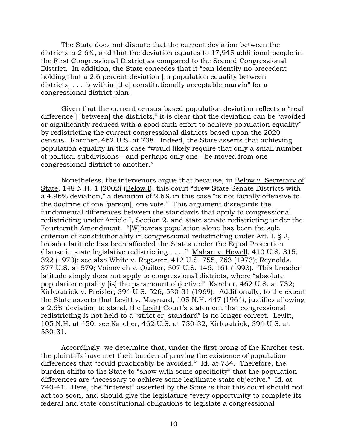The State does not dispute that the current deviation between the districts is 2.6%, and that the deviation equates to 17,945 additional people in the First Congressional District as compared to the Second Congressional District. In addition, the State concedes that it "can identify no precedent holding that a 2.6 percent deviation (in population equality between) districts] . . . is within [the] constitutionally acceptable margin" for a congressional district plan.

Given that the current census-based population deviation reflects a "real difference[] [between] the districts," it is clear that the deviation can be "avoided or significantly reduced with a good-faith effort to achieve population equality" by redistricting the current congressional districts based upon the 2020 census. Karcher, 462 U.S. at 738. Indeed, the State asserts that achieving population equality in this case "would likely require that only a small number of political subdivisions—and perhaps only one—be moved from one congressional district to another."

Nonetheless, the intervenors argue that because, in Below v. Secretary of State, 148 N.H. 1 (2002) (Below I), this court "drew State Senate Districts with a 4.96% deviation," a deviation of 2.6% in this case "is not facially offensive to the doctrine of one [person], one vote." This argument disregards the fundamental differences between the standards that apply to congressional redistricting under Article I, Section 2, and state senate redistricting under the Fourteenth Amendment. "[W]hereas population alone has been the sole criterion of constitutionality in congressional redistricting under Art. I, § 2, broader latitude has been afforded the States under the Equal Protection Clause in state legislative redistricting . . . ." Mahan v. Howell, 410 U.S. 315, 322 (1973); see also White v. Regester, 412 U.S. 755, 763 (1973); Reynolds, 377 U.S. at 579; Voinovich v. Quilter, 507 U.S. 146, 161 (1993). This broader latitude simply does not apply to congressional districts, where "absolute population equality [is] the paramount objective." Karcher, 462 U.S. at 732; Kirkpatrick v. Preisler, 394 U.S. 526, 530-31 (1969). Additionally, to the extent the State asserts that Levitt v. Maynard, 105 N.H. 447 (1964), justifies allowing a 2.6% deviation to stand, the Levitt Court's statement that congressional redistricting is not held to a "strict[er] standard" is no longer correct. Levitt, 105 N.H. at 450; see Karcher, 462 U.S. at 730-32; Kirkpatrick, 394 U.S. at 530-31.

Accordingly, we determine that, under the first prong of the Karcher test, the plaintiffs have met their burden of proving the existence of population differences that "could practicably be avoided." Id. at 734. Therefore, the burden shifts to the State to "show with some specificity" that the population differences are "necessary to achieve some legitimate state objective." Id. at 740-41. Here, the "interest" asserted by the State is that this court should not act too soon, and should give the legislature "every opportunity to complete its federal and state constitutional obligations to legislate a congressional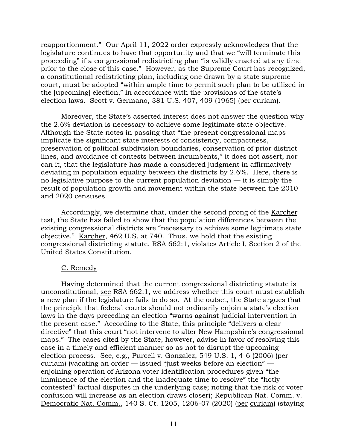reapportionment." Our April 11, 2022 order expressly acknowledges that the legislature continues to have that opportunity and that we "will terminate this proceeding" if a congressional redistricting plan "is validly enacted at any time prior to the close of this case." However, as the Supreme Court has recognized, a constitutional redistricting plan, including one drawn by a state supreme court, must be adopted "within ample time to permit such plan to be utilized in the [upcoming] election," in accordance with the provisions of the state's election laws. Scott v. Germano, 381 U.S. 407, 409 (1965) (per curiam).

Moreover, the State's asserted interest does not answer the question why the 2.6% deviation is necessary to achieve some legitimate state objective. Although the State notes in passing that "the present congressional maps implicate the significant state interests of consistency, compactness, preservation of political subdivision boundaries, conservation of prior district lines, and avoidance of contests between incumbents," it does not assert, nor can it, that the legislature has made a considered judgment in affirmatively deviating in population equality between the districts by 2.6%. Here, there is no legislative purpose to the current population deviation — it is simply the result of population growth and movement within the state between the 2010 and 2020 censuses.

Accordingly, we determine that, under the second prong of the Karcher test, the State has failed to show that the population differences between the existing congressional districts are "necessary to achieve some legitimate state objective." Karcher, 462 U.S. at 740. Thus, we hold that the existing congressional districting statute, RSA 662:1, violates Article I, Section 2 of the United States Constitution.

# C. Remedy

Having determined that the current congressional districting statute is unconstitutional, see RSA 662:1, we address whether this court must establish a new plan if the legislature fails to do so. At the outset, the State argues that the principle that federal courts should not ordinarily enjoin a state's election laws in the days preceding an election "warns against judicial intervention in the present case." According to the State, this principle "delivers a clear directive" that this court "not intervene to alter New Hampshire's congressional maps." The cases cited by the State, however, advise in favor of resolving this case in a timely and efficient manner so as not to disrupt the upcoming election process. See, e.g., Purcell v. Gonzalez, 549 U.S. 1, 4-6 (2006) (per curiam) (vacating an order — issued "just weeks before an election" enjoining operation of Arizona voter identification procedures given "the imminence of the election and the inadequate time to resolve" the "hotly contested" factual disputes in the underlying case; noting that the risk of voter confusion will increase as an election draws closer); Republican Nat. Comm. v. Democratic Nat. Comm., 140 S. Ct. 1205, 1206-07 (2020) (per curiam) (staying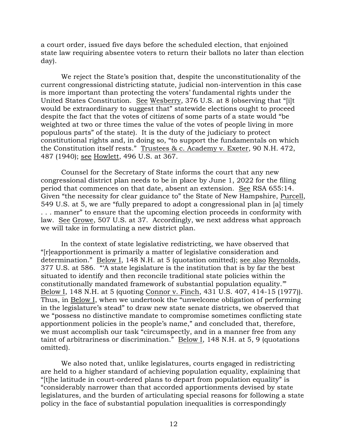a court order, issued five days before the scheduled election, that enjoined state law requiring absentee voters to return their ballots no later than election day).

We reject the State's position that, despite the unconstitutionality of the current congressional districting statute, judicial non-intervention in this case is more important than protecting the voters' fundamental rights under the United States Constitution. See Wesberry, 376 U.S. at 8 (observing that "[i]t would be extraordinary to suggest that" statewide elections ought to proceed despite the fact that the votes of citizens of some parts of a state would "be weighted at two or three times the value of the votes of people living in more populous parts" of the state). It is the duty of the judiciary to protect constitutional rights and, in doing so, "to support the fundamentals on which the Constitution itself rests." Trustees & c. Academy v. Exeter, 90 N.H. 472, 487 (1940); see Howlett, 496 U.S. at 367.

Counsel for the Secretary of State informs the court that any new congressional district plan needs to be in place by June 1, 2022 for the filing period that commences on that date, absent an extension. See RSA 655:14. Given "the necessity for clear guidance to" the State of New Hampshire, Purcell, 549 U.S. at 5, we are "fully prepared to adopt a congressional plan in [a] timely . . . manner" to ensure that the upcoming election proceeds in conformity with law. See Growe, 507 U.S. at 37. Accordingly, we next address what approach we will take in formulating a new district plan.

In the context of state legislative redistricting, we have observed that "[r]eapportionment is primarily a matter of legislative consideration and determination." Below I, 148 N.H. at 5 (quotation omitted); see also Reynolds, 377 U.S. at 586. "'A state legislature is the institution that is by far the best situated to identify and then reconcile traditional state policies within the constitutionally mandated framework of substantial population equality.'" Below I, 148 N.H. at 5 (quoting Connor v. Finch, 431 U.S. 407, 414-15 (1977)). Thus, in Below I, when we undertook the "unwelcome obligation of performing in the legislature's stead" to draw new state senate districts, we observed that we "possess no distinctive mandate to compromise sometimes conflicting state apportionment policies in the people's name," and concluded that, therefore, we must accomplish our task "circumspectly, and in a manner free from any taint of arbitrariness or discrimination." Below I, 148 N.H. at 5, 9 (quotations omitted).

We also noted that, unlike legislatures, courts engaged in redistricting are held to a higher standard of achieving population equality, explaining that "[t]he latitude in court-ordered plans to depart from population equality" is "considerably narrower than that accorded apportionments devised by state legislatures, and the burden of articulating special reasons for following a state policy in the face of substantial population inequalities is correspondingly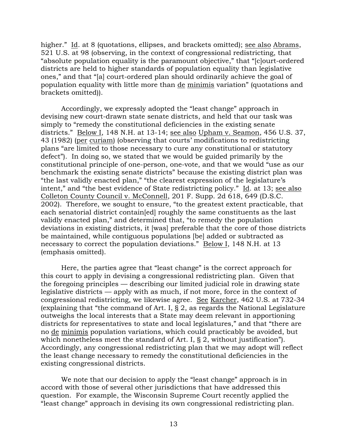higher." Id. at 8 (quotations, ellipses, and brackets omitted); see also Abrams, 521 U.S. at 98 (observing, in the context of congressional redistricting, that "absolute population equality is the paramount objective," that "[c]ourt-ordered districts are held to higher standards of population equality than legislative ones," and that "[a] court-ordered plan should ordinarily achieve the goal of population equality with little more than de minimis variation" (quotations and brackets omitted)).

Accordingly, we expressly adopted the "least change" approach in devising new court-drawn state senate districts, and held that our task was simply to "remedy the constitutional deficiencies in the existing senate districts." Below I, 148 N.H. at 13-14; see also Upham v. Seamon, 456 U.S. 37, 43 (1982) (per curiam) (observing that courts' modifications to redistricting plans "are limited to those necessary to cure any constitutional or statutory defect"). In doing so, we stated that we would be guided primarily by the constitutional principle of one-person, one-vote, and that we would "use as our benchmark the existing senate districts" because the existing district plan was "the last validly enacted plan," "the clearest expression of the legislature's intent," and "the best evidence of State redistricting policy." Id. at 13; see also Colleton County Council v. McConnell, 201 F. Supp. 2d 618, 649 (D.S.C. 2002). Therefore, we sought to ensure, "to the greatest extent practicable, that each senatorial district contain[ed] roughly the same constituents as the last validly enacted plan," and determined that, "to remedy the population deviations in existing districts, it [was] preferable that the core of those districts be maintained, while contiguous populations [be] added or subtracted as necessary to correct the population deviations." Below I, 148 N.H. at 13 (emphasis omitted).

Here, the parties agree that "least change" is the correct approach for this court to apply in devising a congressional redistricting plan. Given that the foregoing principles — describing our limited judicial role in drawing state legislative districts — apply with as much, if not more, force in the context of congressional redistricting, we likewise agree. See Karcher, 462 U.S. at 732-34 (explaining that "the command of Art. I,  $\S$  2, as regards the National Legislature outweighs the local interests that a State may deem relevant in apportioning districts for representatives to state and local legislatures," and that "there are no de minimis population variations, which could practicably be avoided, but which nonetheless meet the standard of Art. I, § 2, without justification"). Accordingly, any congressional redistricting plan that we may adopt will reflect the least change necessary to remedy the constitutional deficiencies in the existing congressional districts.

We note that our decision to apply the "least change" approach is in accord with those of several other jurisdictions that have addressed this question. For example, the Wisconsin Supreme Court recently applied the "least change" approach in devising its own congressional redistricting plan.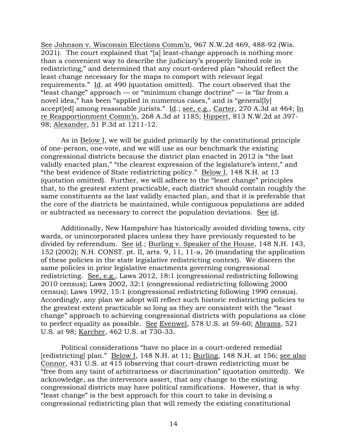See Johnson v. Wisconsin Elections Comm'n, 967 N.W.2d 469, 488-92 (Wis. 2021). The court explained that "[a] least-change approach is nothing more than a convenient way to describe the judiciary's properly limited role in redistricting," and determined that any court-ordered plan "should reflect the least change necessary for the maps to comport with relevant legal requirements." Id. at 490 (quotation omitted). The court observed that the "least change" approach — or "minimum change doctrine" — is "far from a novel idea," has been "applied in numerous cases," and is "general[ly] accept[ed] among reasonable jurists." Id.; see, e.g., Carter, 270 A.3d at 464; In re Reapportionment Comm'n, 268 A.3d at 1185; Hippert, 813 N.W.2d at 397- 98; Alexander, 51 P.3d at 1211-12.

As in Below I, we will be guided primarily by the constitutional principle of one-person, one-vote, and we will use as our benchmark the existing congressional districts because the district plan enacted in 2012 is "the last validly enacted plan," "the clearest expression of the legislature's intent," and "the best evidence of State redistricting policy." Below I, 148 N.H. at 13 (quotation omitted). Further, we will adhere to the "least change" principles that, to the greatest extent practicable, each district should contain roughly the same constituents as the last validly enacted plan, and that it is preferable that the core of the districts be maintained, while contiguous populations are added or subtracted as necessary to correct the population deviations. See id.

Additionally, New Hampshire has historically avoided dividing towns, city wards, or unincorporated places unless they have previously requested to be divided by referendum. See id.; Burling v. Speaker of the House, 148 N.H. 143, 152 (2002); N.H. CONST. pt. II, arts. 9, 11, 11-a, 26 (mandating the application of these policies in the state legislative redistricting context). We discern the same policies in prior legislative enactments governing congressional redistricting. See, e.g., Laws 2012, 18:1 (congressional redistricting following 2010 census); Laws 2002, 32:1 (congressional redistricting following 2000 census); Laws 1992, 15:1 (congressional redistricting following 1990 census). Accordingly, any plan we adopt will reflect such historic redistricting policies to the greatest extent practicable so long as they are consistent with the "least change" approach to achieving congressional districts with populations as close to perfect equality as possible. See Evenwel, 578 U.S. at 59-60; Abrams, 521 U.S. at 98; Karcher, 462 U.S. at 730-33.

Political considerations "have no place in a court-ordered remedial [redistricting] plan." Below I, 148 N.H. at 11; Burling, 148 N.H. at 156; see also Connor, 431 U.S. at 415 (observing that court-drawn redistricting must be "free from any taint of arbitrariness or discrimination" (quotation omitted)). We acknowledge, as the intervenors assert, that any change to the existing congressional districts may have political ramifications. However, that is why "least change" is the best approach for this court to take in devising a congressional redistricting plan that will remedy the existing constitutional